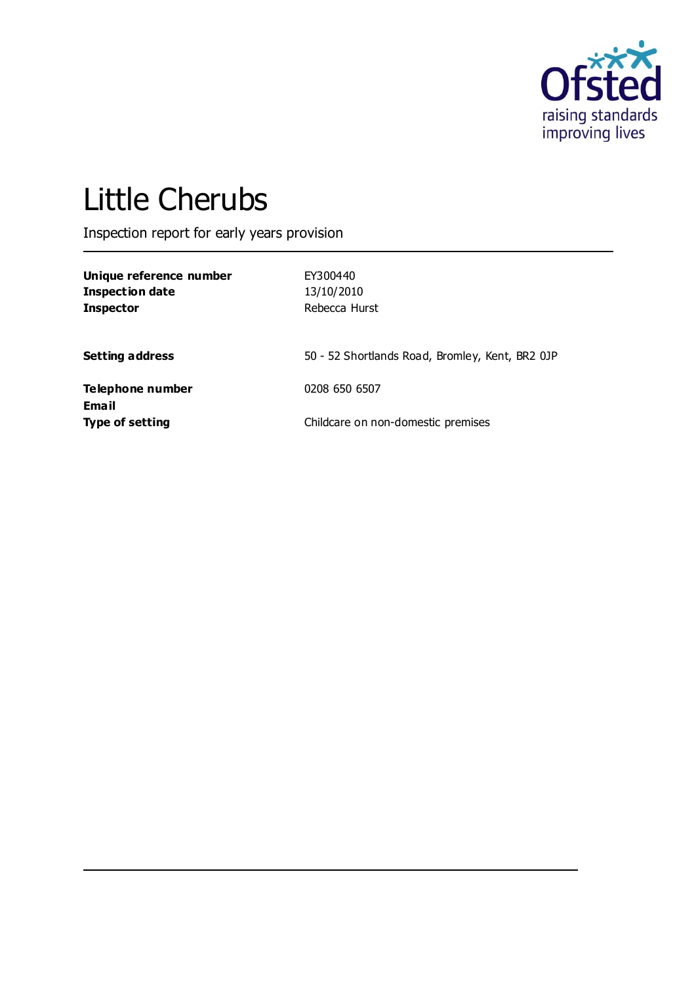

# Little Cherubs

Inspection report for early years provision

| Unique reference number<br><b>Inspection date</b><br><b>Inspector</b> | EY300440<br>13/10/2010<br>Rebecca Hurst         |
|-----------------------------------------------------------------------|-------------------------------------------------|
| <b>Setting address</b>                                                | 50 - 52 Shortlands Road, Bromley, Kent, BR2 0JP |
| Telephone number                                                      | 0208 650 6507                                   |
| Email<br><b>Type of setting</b>                                       | Childcare on non-domestic premises              |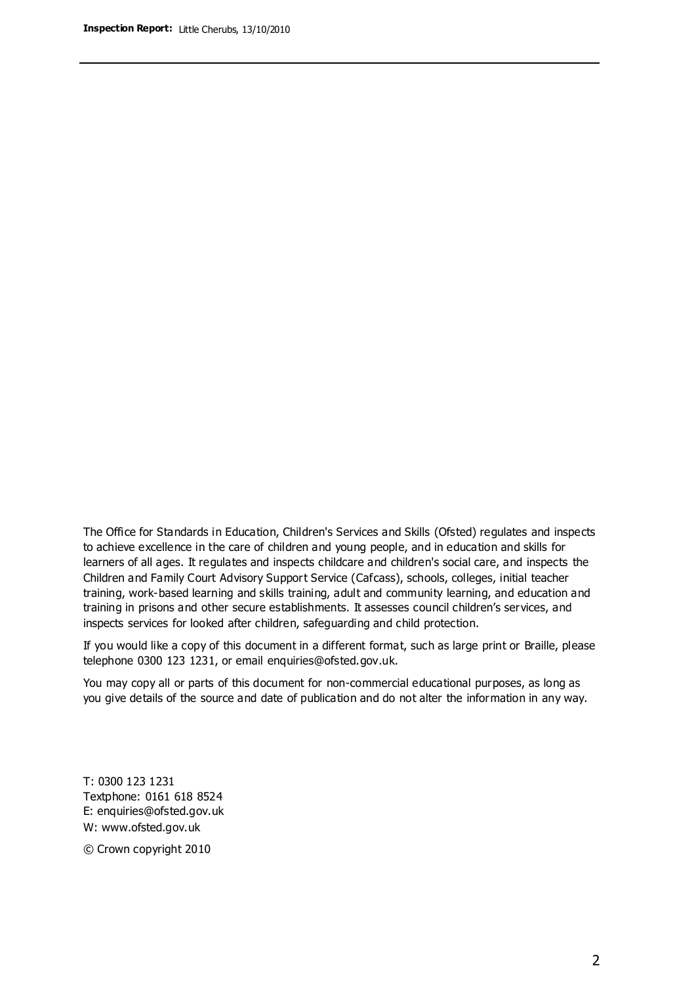The Office for Standards in Education, Children's Services and Skills (Ofsted) regulates and inspects to achieve excellence in the care of children and young people, and in education and skills for learners of all ages. It regulates and inspects childcare and children's social care, and inspects the Children and Family Court Advisory Support Service (Cafcass), schools, colleges, initial teacher training, work-based learning and skills training, adult and community learning, and education and training in prisons and other secure establishments. It assesses council children's services, and inspects services for looked after children, safeguarding and child protection.

If you would like a copy of this document in a different format, such as large print or Braille, please telephone 0300 123 1231, or email enquiries@ofsted.gov.uk.

You may copy all or parts of this document for non-commercial educational purposes, as long as you give details of the source and date of publication and do not alter the information in any way.

T: 0300 123 1231 Textphone: 0161 618 8524 E: enquiries@ofsted.gov.uk W: [www.ofsted.gov.uk](http://www.ofsted.gov.uk/)

© Crown copyright 2010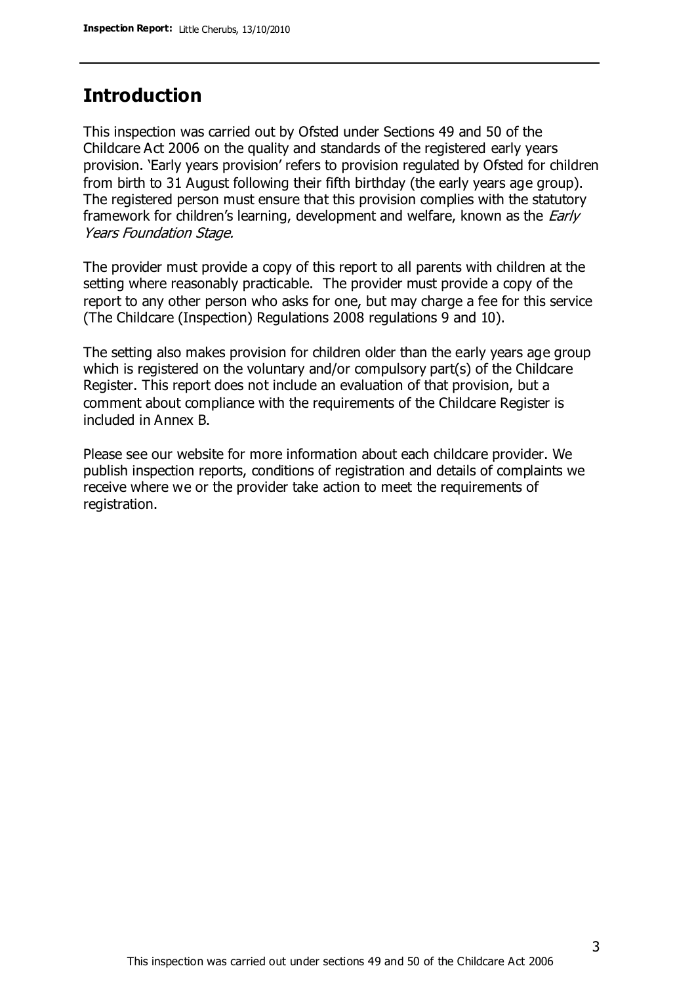## **Introduction**

This inspection was carried out by Ofsted under Sections 49 and 50 of the Childcare Act 2006 on the quality and standards of the registered early years provision. 'Early years provision' refers to provision regulated by Ofsted for children from birth to 31 August following their fifth birthday (the early years age group). The registered person must ensure that this provision complies with the statutory framework for children's learning, development and welfare, known as the *Early* Years Foundation Stage.

The provider must provide a copy of this report to all parents with children at the setting where reasonably practicable. The provider must provide a copy of the report to any other person who asks for one, but may charge a fee for this service (The Childcare (Inspection) Regulations 2008 regulations 9 and 10).

The setting also makes provision for children older than the early years age group which is registered on the voluntary and/or compulsory part(s) of the Childcare Register. This report does not include an evaluation of that provision, but a comment about compliance with the requirements of the Childcare Register is included in Annex B.

Please see our website for more information about each childcare provider. We publish inspection reports, conditions of registration and details of complaints we receive where we or the provider take action to meet the requirements of registration.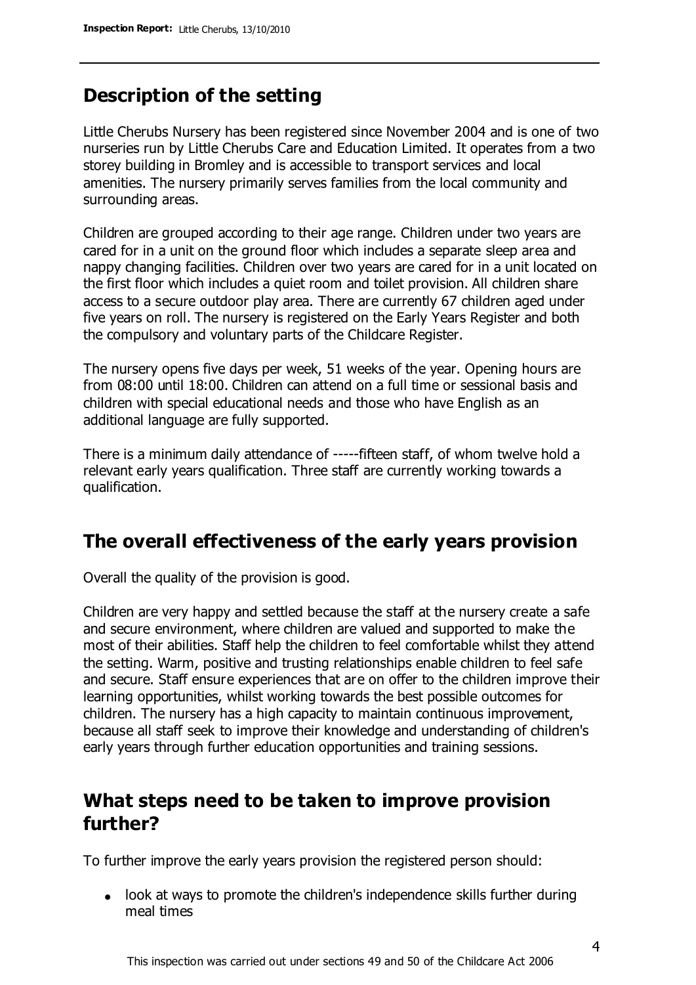# **Description of the setting**

Little Cherubs Nursery has been registered since November 2004 and is one of two nurseries run by Little Cherubs Care and Education Limited. It operates from a two storey building in Bromley and is accessible to transport services and local amenities. The nursery primarily serves families from the local community and surrounding areas.

Children are grouped according to their age range. Children under two years are cared for in a unit on the ground floor which includes a separate sleep area and nappy changing facilities. Children over two years are cared for in a unit located on the first floor which includes a quiet room and toilet provision. All children share access to a secure outdoor play area. There are currently 67 children aged under five years on roll. The nursery is registered on the Early Years Register and both the compulsory and voluntary parts of the Childcare Register.

The nursery opens five days per week, 51 weeks of the year. Opening hours are from 08:00 until 18:00. Children can attend on a full time or sessional basis and children with special educational needs and those who have English as an additional language are fully supported.

There is a minimum daily attendance of -----fifteen staff, of whom twelve hold a relevant early years qualification. Three staff are currently working towards a qualification.

## **The overall effectiveness of the early years provision**

Overall the quality of the provision is good.

Children are very happy and settled because the staff at the nursery create a safe and secure environment, where children are valued and supported to make the most of their abilities. Staff help the children to feel comfortable whilst they attend the setting. Warm, positive and trusting relationships enable children to feel safe and secure. Staff ensure experiences that are on offer to the children improve their learning opportunities, whilst working towards the best possible outcomes for children. The nursery has a high capacity to maintain continuous improvement, because all staff seek to improve their knowledge and understanding of children's early years through further education opportunities and training sessions.

# **What steps need to be taken to improve provision further?**

To further improve the early years provision the registered person should:

look at ways to promote the children's independence skills further during meal times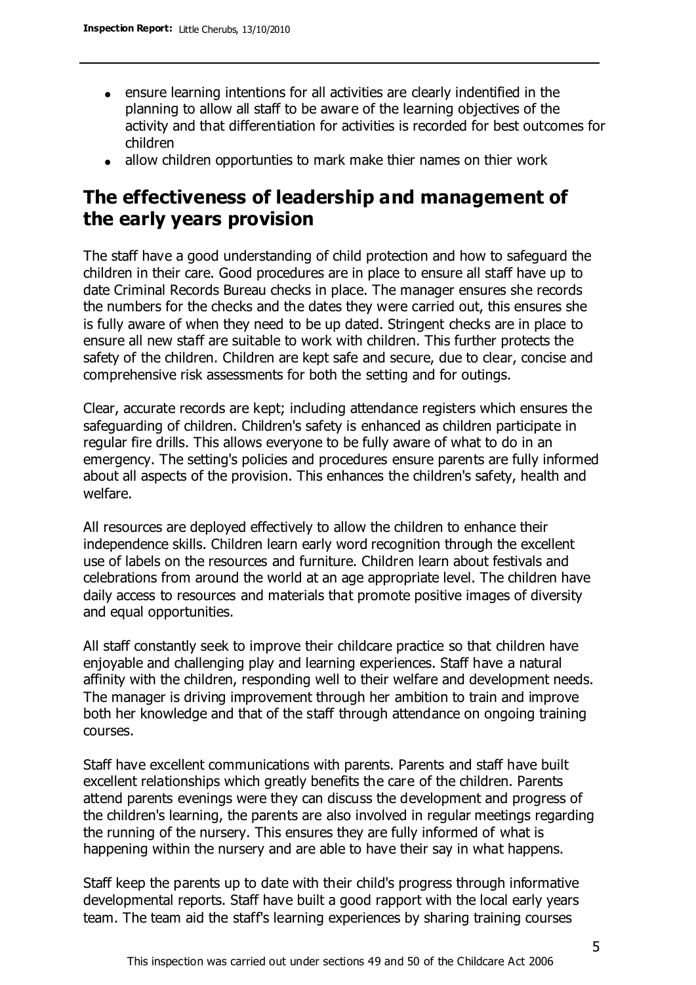- ensure learning intentions for all activities are clearly indentified in the planning to allow all staff to be aware of the learning objectives of the activity and that differentiation for activities is recorded for best outcomes for children
- allow children opportunties to mark make thier names on thier work

# **The effectiveness of leadership and management of the early years provision**

The staff have a good understanding of child protection and how to safeguard the children in their care. Good procedures are in place to ensure all staff have up to date Criminal Records Bureau checks in place. The manager ensures she records the numbers for the checks and the dates they were carried out, this ensures she is fully aware of when they need to be up dated. Stringent checks are in place to ensure all new staff are suitable to work with children. This further protects the safety of the children. Children are kept safe and secure, due to clear, concise and comprehensive risk assessments for both the setting and for outings.

Clear, accurate records are kept; including attendance registers which ensures the safeguarding of children. Children's safety is enhanced as children participate in regular fire drills. This allows everyone to be fully aware of what to do in an emergency. The setting's policies and procedures ensure parents are fully informed about all aspects of the provision. This enhances the children's safety, health and welfare.

All resources are deployed effectively to allow the children to enhance their independence skills. Children learn early word recognition through the excellent use of labels on the resources and furniture. Children learn about festivals and celebrations from around the world at an age appropriate level. The children have daily access to resources and materials that promote positive images of diversity and equal opportunities.

All staff constantly seek to improve their childcare practice so that children have enjoyable and challenging play and learning experiences. Staff have a natural affinity with the children, responding well to their welfare and development needs. The manager is driving improvement through her ambition to train and improve both her knowledge and that of the staff through attendance on ongoing training courses.

Staff have excellent communications with parents. Parents and staff have built excellent relationships which greatly benefits the care of the children. Parents attend parents evenings were they can discuss the development and progress of the children's learning, the parents are also involved in regular meetings regarding the running of the nursery. This ensures they are fully informed of what is happening within the nursery and are able to have their say in what happens.

Staff keep the parents up to date with their child's progress through informative developmental reports. Staff have built a good rapport with the local early years team. The team aid the staff's learning experiences by sharing training courses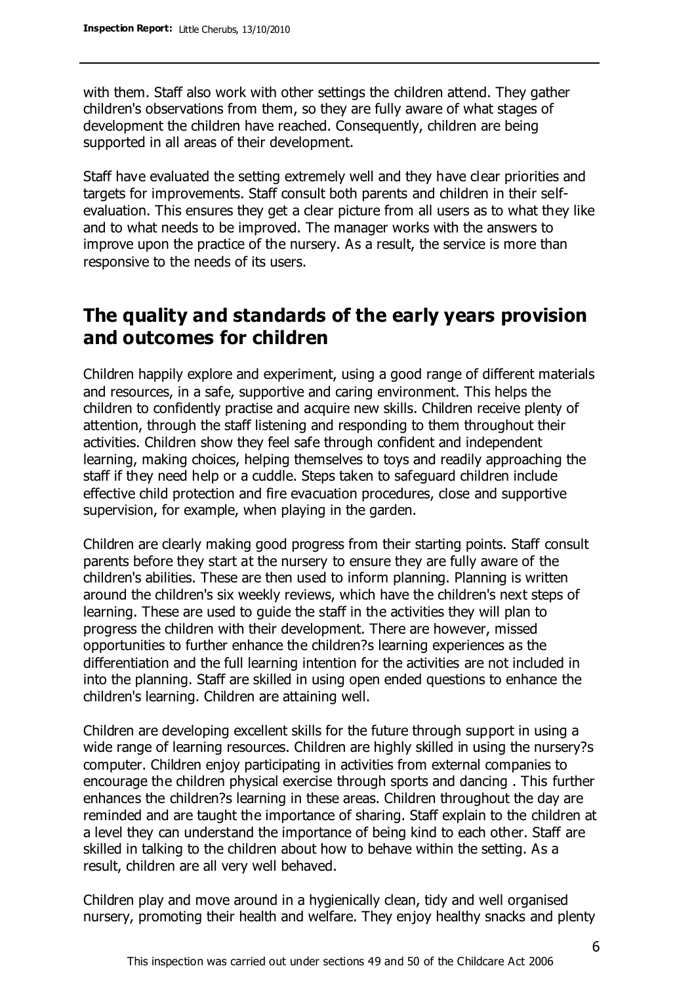with them. Staff also work with other settings the children attend. They gather children's observations from them, so they are fully aware of what stages of development the children have reached. Consequently, children are being supported in all areas of their development.

Staff have evaluated the setting extremely well and they have clear priorities and targets for improvements. Staff consult both parents and children in their selfevaluation. This ensures they get a clear picture from all users as to what they like and to what needs to be improved. The manager works with the answers to improve upon the practice of the nursery. As a result, the service is more than responsive to the needs of its users.

## **The quality and standards of the early years provision and outcomes for children**

Children happily explore and experiment, using a good range of different materials and resources, in a safe, supportive and caring environment. This helps the children to confidently practise and acquire new skills. Children receive plenty of attention, through the staff listening and responding to them throughout their activities. Children show they feel safe through confident and independent learning, making choices, helping themselves to toys and readily approaching the staff if they need help or a cuddle. Steps taken to safeguard children include effective child protection and fire evacuation procedures, close and supportive supervision, for example, when playing in the garden.

Children are clearly making good progress from their starting points. Staff consult parents before they start at the nursery to ensure they are fully aware of the children's abilities. These are then used to inform planning. Planning is written around the children's six weekly reviews, which have the children's next steps of learning. These are used to guide the staff in the activities they will plan to progress the children with their development. There are however, missed opportunities to further enhance the children?s learning experiences as the differentiation and the full learning intention for the activities are not included in into the planning. Staff are skilled in using open ended questions to enhance the children's learning. Children are attaining well.

Children are developing excellent skills for the future through support in using a wide range of learning resources. Children are highly skilled in using the nursery?s computer. Children enjoy participating in activities from external companies to encourage the children physical exercise through sports and dancing . This further enhances the children?s learning in these areas. Children throughout the day are reminded and are taught the importance of sharing. Staff explain to the children at a level they can understand the importance of being kind to each other. Staff are skilled in talking to the children about how to behave within the setting. As a result, children are all very well behaved.

Children play and move around in a hygienically clean, tidy and well organised nursery, promoting their health and welfare. They enjoy healthy snacks and plenty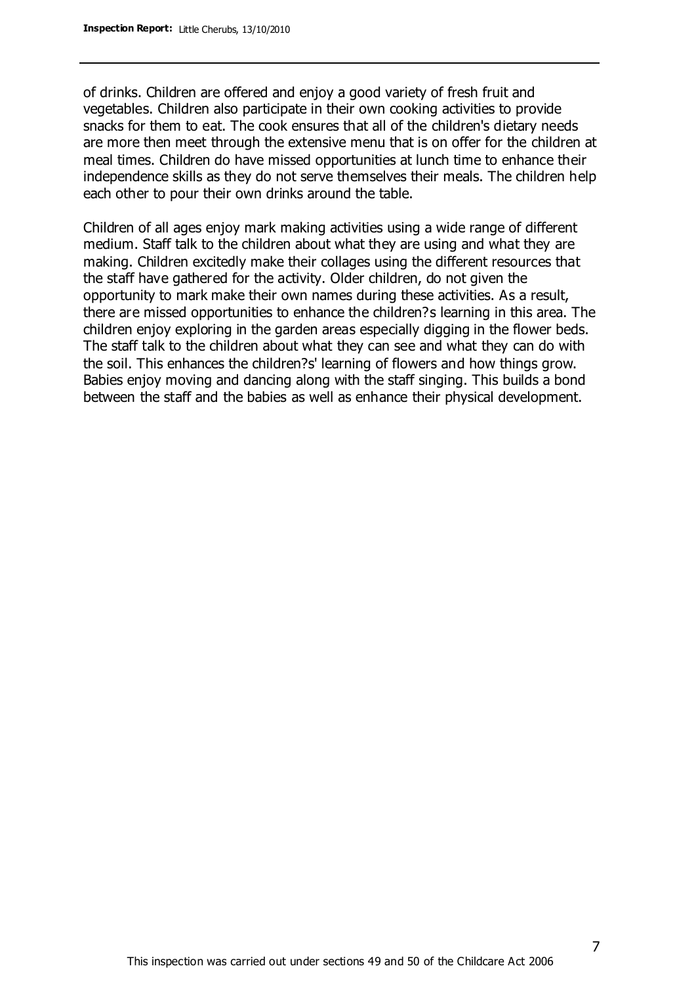of drinks. Children are offered and enjoy a good variety of fresh fruit and vegetables. Children also participate in their own cooking activities to provide snacks for them to eat. The cook ensures that all of the children's dietary needs are more then meet through the extensive menu that is on offer for the children at meal times. Children do have missed opportunities at lunch time to enhance their independence skills as they do not serve themselves their meals. The children help each other to pour their own drinks around the table.

Children of all ages enjoy mark making activities using a wide range of different medium. Staff talk to the children about what they are using and what they are making. Children excitedly make their collages using the different resources that the staff have gathered for the activity. Older children, do not given the opportunity to mark make their own names during these activities. As a result, there are missed opportunities to enhance the children?s learning in this area. The children enjoy exploring in the garden areas especially digging in the flower beds. The staff talk to the children about what they can see and what they can do with the soil. This enhances the children?s' learning of flowers and how things grow. Babies enjoy moving and dancing along with the staff singing. This builds a bond between the staff and the babies as well as enhance their physical development.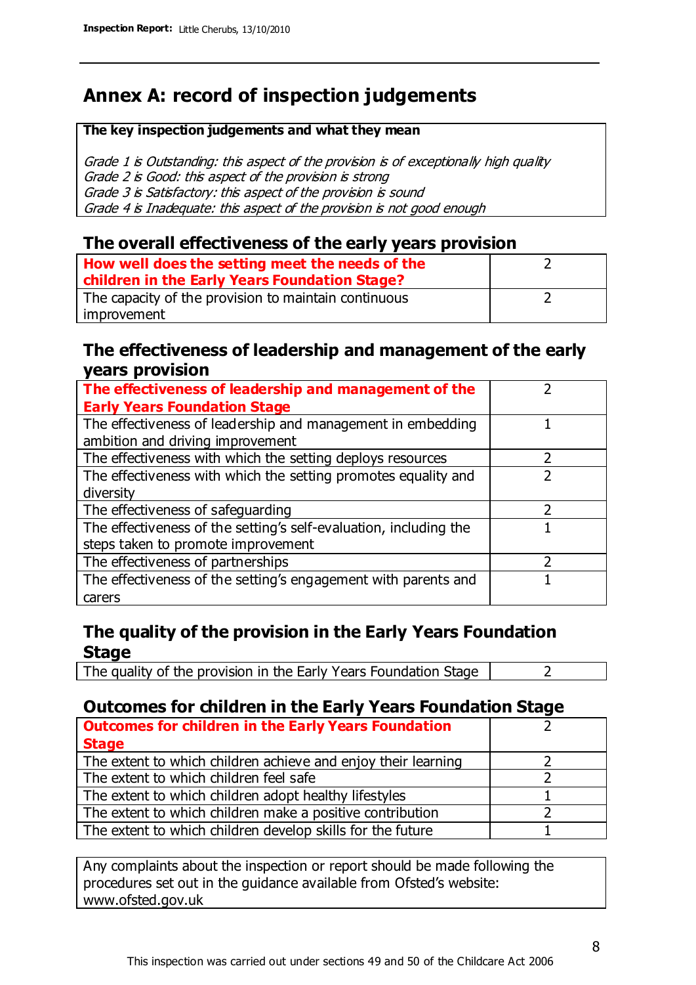# **Annex A: record of inspection judgements**

#### **The key inspection judgements and what they mean**

Grade 1 is Outstanding: this aspect of the provision is of exceptionally high quality Grade 2 is Good: this aspect of the provision is strong Grade 3 is Satisfactory: this aspect of the provision is sound Grade 4 is Inadequate: this aspect of the provision is not good enough

#### **The overall effectiveness of the early years provision**

| How well does the setting meet the needs of the      |  |
|------------------------------------------------------|--|
| children in the Early Years Foundation Stage?        |  |
| The capacity of the provision to maintain continuous |  |
| improvement                                          |  |

### **The effectiveness of leadership and management of the early years provision**

| The effectiveness of leadership and management of the             |  |
|-------------------------------------------------------------------|--|
| <b>Early Years Foundation Stage</b>                               |  |
| The effectiveness of leadership and management in embedding       |  |
| ambition and driving improvement                                  |  |
| The effectiveness with which the setting deploys resources        |  |
| The effectiveness with which the setting promotes equality and    |  |
| diversity                                                         |  |
| The effectiveness of safeguarding                                 |  |
| The effectiveness of the setting's self-evaluation, including the |  |
| steps taken to promote improvement                                |  |
| The effectiveness of partnerships                                 |  |
| The effectiveness of the setting's engagement with parents and    |  |
| carers                                                            |  |

## **The quality of the provision in the Early Years Foundation Stage**

The quality of the provision in the Early Years Foundation Stage  $\vert$  2

## **Outcomes for children in the Early Years Foundation Stage**

| <b>Outcomes for children in the Early Years Foundation</b>    |  |
|---------------------------------------------------------------|--|
| <b>Stage</b>                                                  |  |
| The extent to which children achieve and enjoy their learning |  |
| The extent to which children feel safe                        |  |
| The extent to which children adopt healthy lifestyles         |  |
| The extent to which children make a positive contribution     |  |
| The extent to which children develop skills for the future    |  |

Any complaints about the inspection or report should be made following the procedures set out in the guidance available from Ofsted's website: www.ofsted.gov.uk